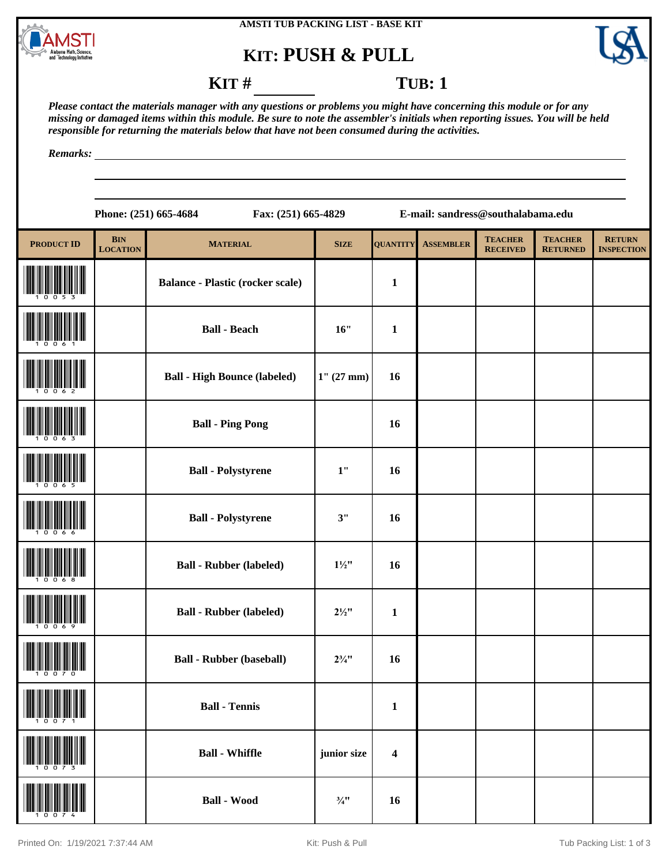





## **KIT** # **TUB**: 1

*Please contact the materials manager with any questions or problems you might have concerning this module or for any missing or damaged items within this module. Be sure to note the assembler's initials when reporting issues. You will be held responsible for returning the materials below that have not been consumed during the activities.*

*Remarks:*

|                   | Phone: (251) 665-4684<br>Fax: (251) 665-4829 |                                         |                  |                         | E-mail: sandress@southalabama.edu |                                   |                                   |                                    |  |  |
|-------------------|----------------------------------------------|-----------------------------------------|------------------|-------------------------|-----------------------------------|-----------------------------------|-----------------------------------|------------------------------------|--|--|
| <b>PRODUCT ID</b> | <b>BIN</b><br><b>LOCATION</b>                | <b>MATERIAL</b>                         | <b>SIZE</b>      | <b>QUANTITY</b>         | <b>ASSEMBLER</b>                  | <b>TEACHER</b><br><b>RECEIVED</b> | <b>TEACHER</b><br><b>RETURNED</b> | <b>RETURN</b><br><b>INSPECTION</b> |  |  |
|                   |                                              | <b>Balance - Plastic (rocker scale)</b> |                  | $\mathbf{1}$            |                                   |                                   |                                   |                                    |  |  |
|                   |                                              | <b>Ball - Beach</b>                     | 16"              | $\mathbf{1}$            |                                   |                                   |                                   |                                    |  |  |
|                   |                                              | <b>Ball - High Bounce (labeled)</b>     | $1''(27$ mm)     | 16                      |                                   |                                   |                                   |                                    |  |  |
|                   |                                              | <b>Ball - Ping Pong</b>                 |                  | 16                      |                                   |                                   |                                   |                                    |  |  |
|                   |                                              | <b>Ball - Polystyrene</b>               | 1"               | 16                      |                                   |                                   |                                   |                                    |  |  |
|                   |                                              | <b>Ball - Polystyrene</b>               | 3"               | 16                      |                                   |                                   |                                   |                                    |  |  |
|                   |                                              | <b>Ball - Rubber (labeled)</b>          | $1\frac{1}{2}$ " | 16                      |                                   |                                   |                                   |                                    |  |  |
|                   |                                              | <b>Ball - Rubber (labeled)</b>          | $2\frac{1}{2}$ " | $\mathbf{1}$            |                                   |                                   |                                   |                                    |  |  |
|                   |                                              | <b>Ball - Rubber (baseball)</b>         | $2\frac{3}{4}$ " | 16                      |                                   |                                   |                                   |                                    |  |  |
|                   |                                              | <b>Ball - Tennis</b>                    |                  | $\mathbf{1}$            |                                   |                                   |                                   |                                    |  |  |
|                   |                                              | <b>Ball - Whiffle</b>                   | junior size      | $\overline{\mathbf{4}}$ |                                   |                                   |                                   |                                    |  |  |
|                   |                                              | <b>Ball - Wood</b>                      | $\frac{3}{4}$ !! | 16                      |                                   |                                   |                                   |                                    |  |  |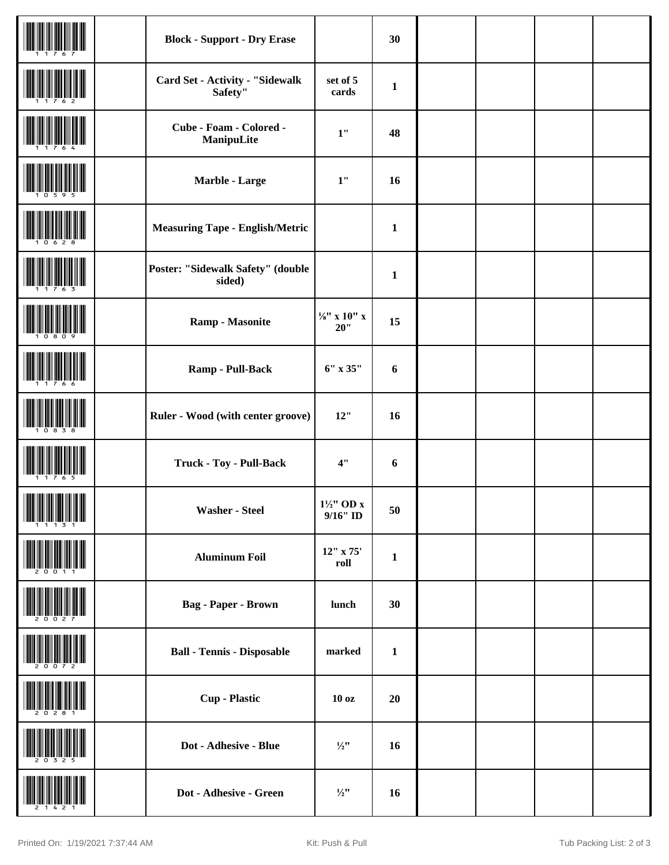|                       | <b>Block - Support - Dry Erase</b>          |                                   | 30           |  |  |
|-----------------------|---------------------------------------------|-----------------------------------|--------------|--|--|
|                       | Card Set - Activity - "Sidewalk<br>Safety"  | set of 5<br>cards                 | $\mathbf{1}$ |  |  |
|                       | Cube - Foam - Colored -<br>ManipuLite       | 1"                                | 48           |  |  |
|                       | Marble - Large                              | 1"                                | 16           |  |  |
|                       | <b>Measuring Tape - English/Metric</b>      |                                   | $\mathbf{1}$ |  |  |
|                       | Poster: "Sidewalk Safety" (double<br>sided) |                                   | $\mathbf{1}$ |  |  |
|                       | <b>Ramp - Masonite</b>                      | $\frac{1}{8}$ " x 10" x<br>$20$ " | 15           |  |  |
|                       | Ramp - Pull-Back                            | 6" x 35"                          | 6            |  |  |
|                       | Ruler - Wood (with center groove)           | 12"                               | 16           |  |  |
|                       | <b>Truck - Toy - Pull-Back</b>              | 4"                                | 6            |  |  |
| <u> Hiljini ili k</u> | <b>Washer - Steel</b>                       | 1½" OD x<br>$9/16"$ ID            | 50           |  |  |
|                       | <b>Aluminum Foil</b>                        | 12" x 75'<br>roll                 | $\mathbf{1}$ |  |  |
|                       | <b>Bag - Paper - Brown</b>                  | lunch                             | 30           |  |  |
|                       | <b>Ball - Tennis - Disposable</b>           | marked                            | $\mathbf{1}$ |  |  |
|                       | <b>Cup</b> - Plastic                        | 10 <sub>oz</sub>                  | 20           |  |  |
|                       | Dot - Adhesive - Blue                       | $\frac{1}{2}$ "                   | 16           |  |  |
|                       | Dot - Adhesive - Green                      | $\frac{1}{2}$ "                   | 16           |  |  |